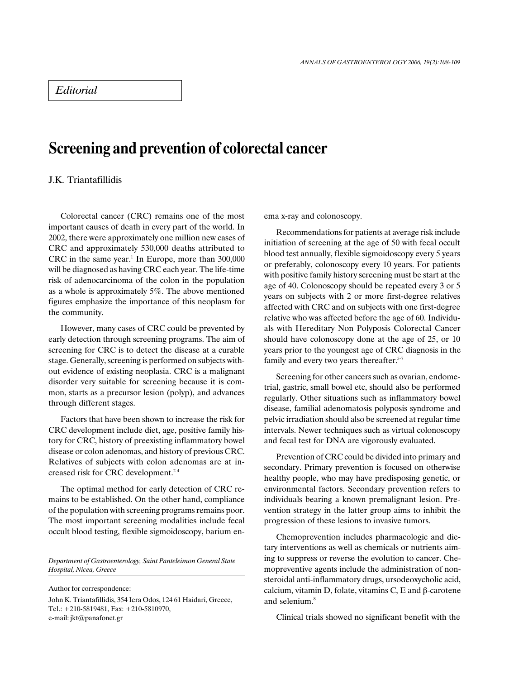## Editorial

## Screening and prevention of colorectal cancer

## J.K. Triantafillidis

Colorectal cancer (CRC) remains one of the most important causes of death in every part of the world. In 2002, there were approximately one million new cases of CRC and approximately 530,000 deaths attributed to  $CRC$  in the same year.<sup>1</sup> In Europe, more than  $300,000$ will be diagnosed as having CRC each year. The life-time risk of adenocarcinoma of the colon in the population as a whole is approximately 5%. The above mentioned figures emphasize the importance of this neoplasm for the community.

However, many cases of CRC could be prevented by early detection through screening programs. The aim of screening for CRC is to detect the disease at a curable stage. Generally, screening is performed on subjects without evidence of existing neoplasia. CRC is a malignant disorder very suitable for screening because it is common, starts as a precursor lesion (polyp), and advances through different stages.

Factors that have been shown to increase the risk for CRC development include diet, age, positive family history for CRC, history of preexisting inflammatory bowel disease or colon adenomas, and history of previous CRC. Relatives of subjects with colon adenomas are at increased risk for CRC development.<sup>2-4</sup>

The optimal method for early detection of CRC remains to be established. On the other hand, compliance of the population with screening programs remains poor. The most important screening modalities include fecal occult blood testing, flexible sigmoidoscopy, barium en-

Department of Gastroenterology, Saint Panteleimon General State Hospital, Nicea, Greece

Author for correspondence: John K. Triantafillidis, 354 Iera Odos, 124 61 Haidari, Greece, Tel.: +210-5819481, Fax: +210-5810970, e-mail: jkt@panafonet.gr

ema x-ray and colonoscopy.

Recommendations for patients at average risk include initiation of screening at the age of 50 with fecal occult blood test annually, flexible sigmoidoscopy every 5 years or preferably, colonoscopy every 10 years. For patients with positive family history screening must be start at the age of 40. Colonoscopy should be repeated every 3 or 5 years on subjects with 2 or more first-degree relatives affected with CRC and on subjects with one first-degree relative who was affected before the age of 60. Individuals with Hereditary Non Polyposis Colorectal Cancer should have colonoscopy done at the age of 25, or 10 years prior to the youngest age of CRC diagnosis in the family and every two years thereafter.<sup>5-7</sup>

Screening for other cancers such as ovarian, endometrial, gastric, small bowel etc, should also be performed regularly. Other situations such as inflammatory bowel disease, familial adenomatosis polyposis syndrome and pelvic irradiation should also be screened at regular time intervals. Newer techniques such as virtual colonoscopy and fecal test for DNA are vigorously evaluated.

Prevention of CRC could be divided into primary and secondary. Primary prevention is focused on otherwise healthy people, who may have predisposing genetic, or environmental factors. Secondary prevention refers to individuals bearing a known premalignant lesion. Prevention strategy in the latter group aims to inhibit the progression of these lesions to invasive tumors.

Chemoprevention includes pharmacologic and dietary interventions as well as chemicals or nutrients aiming to suppress or reverse the evolution to cancer. Chemopreventive agents include the administration of nonsteroidal anti-inflammatory drugs, ursodeoxycholic acid, calcium, vitamin D, folate, vitamins C, E and  $\beta$ -carotene and selenium.<sup>8</sup>

Clinical trials showed no significant benefit with the